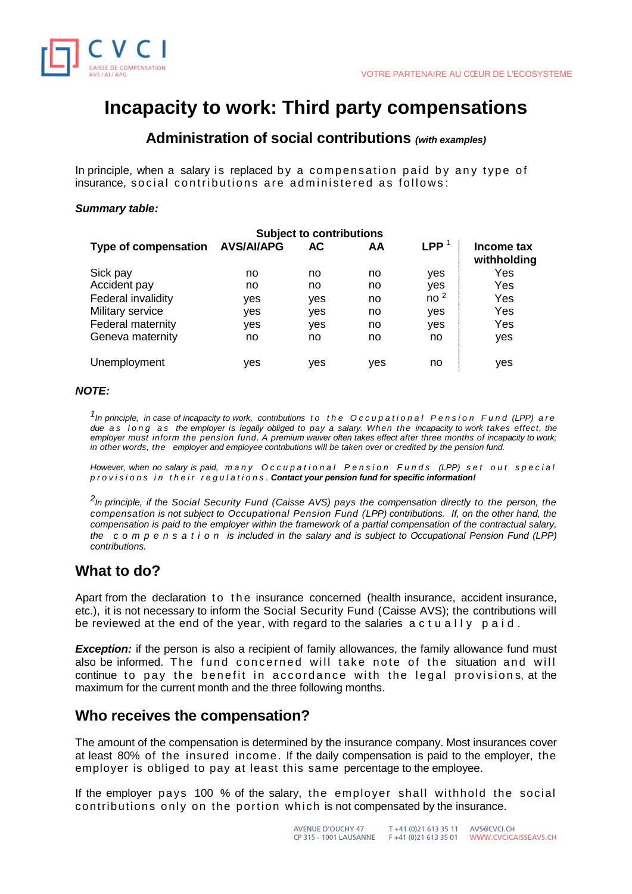

# **Incapacity to work: Third party compensations**

# **Administration of social contributions** *(with examples)*

In principle, when a salary is replaced by a compensation paid by any type of insurance, social contributions are administered as follows:

## *Summary table:*

| <b>Subject to contributions</b> |                   |     |     |                  |                           |
|---------------------------------|-------------------|-----|-----|------------------|---------------------------|
| Type of compensation            | <b>AVS/AI/APG</b> | AC  | AA  | $\mathsf{LPP}^1$ | Income tax<br>withholding |
| Sick pay                        | no                | no  | no  | yes              | Yes                       |
| Accident pay                    | no                | no  | no  | yes              | Yes                       |
| Federal invalidity              | yes               | yes | no  | no <sup>2</sup>  | Yes                       |
| Military service                | yes               | yes | no  | yes              | Yes                       |
| Federal maternity               | yes               | yes | no  | yes              | Yes                       |
| Geneva maternity                | no                | no  | no  | no               | yes                       |
| Unemployment                    | ves               | yes | yes | no               | yes                       |

## *NOTE:*

*1 In principle, in case of incapacity to work, contributions t o t h e O c c u p a t i o n a l P e n s i o n F u n d (LPP) are due a s l o n g a s the employer is legally obliged to pay a salary. When the incapacity to work takes effect, the employer must inform the pension fund. A premium waiver often takes effect after three months of incapacity to work; in other words, the employer and employee contributions will be taken over or credited by the pension fund.*

*However, when no salary is paid, many Occupational Pension Funds (LPP) set out special p r o v i s i o n s i n t h e i r r e g u l a t i o n s . Contact your pension fund for specific information!*

*2 In principle, if the Social Security Fund (Caisse AVS) pays the compensation directly to the person, the compensation is not subject to Occupational Pension Fund (LPP) contributions. If, on the other hand, the compensation is paid to the employer within the framework of a partial compensation of the contractual salary, the c o m p e n s a t i o n is included in the salary and is subject to Occupational Pension Fund (LPP) contributions.*

# **What to do?**

Apart from the declaration to the insurance concerned (health insurance, accident insurance, etc.), it is not necessary to inform the Social Security Fund (Caisse AVS); the contributions will be reviewed at the end of the year, with regard to the salaries  $a$  c t u all  $v$  p a i d.

**Exception:** if the person is also a recipient of family allowances, the family allowance fund must also be informed. The fund concerned will take note of the situation and will continue to pay the benefit in accordance with the legal provisions, at the maximum for the current month and the three following months.

# **Who receives the compensation?**

The amount of the compensation is determined by the insurance company. Most insurances cover at least 80% of the insured income. If the daily compensation is paid to the employer, the employer is obliged to pay at least this same percentage to the employee.

If the employer pays 100 % of the salary, the employer shall withhold the social contributions only on the portion which is not compensated by the insurance.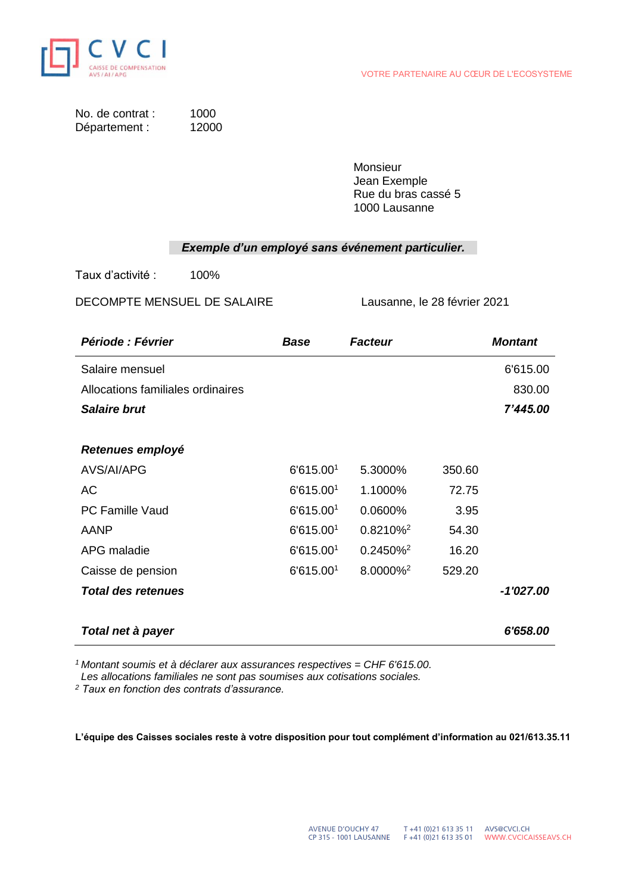

| No. de contrat : | 1000  |
|------------------|-------|
| Département :    | 12000 |

**Monsieur** Jean Exemple Rue du bras cassé 5 1000 Lausanne

# *Exemple d'un employé sans événement particulier.*

Taux d'activité : 100%

DECOMPTE MENSUEL DE SALAIRE Lausanne, le 28 février 2021

| <i><b>Période : Février</b></i>   | Base                  | <b>Facteur</b>       |        | <b>Montant</b> |
|-----------------------------------|-----------------------|----------------------|--------|----------------|
| Salaire mensuel                   |                       |                      |        | 6'615.00       |
| Allocations familiales ordinaires |                       |                      |        | 830.00         |
| <b>Salaire brut</b>               |                       |                      |        | 7'445.00       |
|                                   |                       |                      |        |                |
| Retenues employé                  |                       |                      |        |                |
| AVS/AI/APG                        | 6'615.001             | 5.3000%              | 350.60 |                |
| AC                                | 6'615.001             | 1.1000%              | 72.75  |                |
| PC Famille Vaud                   | 6'615.001             | 0.0600%              | 3.95   |                |
| AANP                              | 6'615.001             | $0.8210\%^2$         | 54.30  |                |
| APG maladie                       | 6'615.001             | 0.2450% <sup>2</sup> | 16.20  |                |
| Caisse de pension                 | 6'615.00 <sup>1</sup> | 8.0000% <sup>2</sup> | 529.20 |                |
| <b>Total des retenues</b>         |                       |                      |        | $-1'027.00$    |
|                                   |                       |                      |        |                |
| Total net à payer                 |                       |                      |        | 6'658.00       |

*<sup>1</sup> Montant soumis et à déclarer aux assurances respectives = CHF 6'615.00.*

 *Les allocations familiales ne sont pas soumises aux cotisations sociales.*

*<sup>2</sup> Taux en fonction des contrats d'assurance.*

**L'équipe des Caisses sociales reste à votre disposition pour tout complément d'information au 021/613.35.11**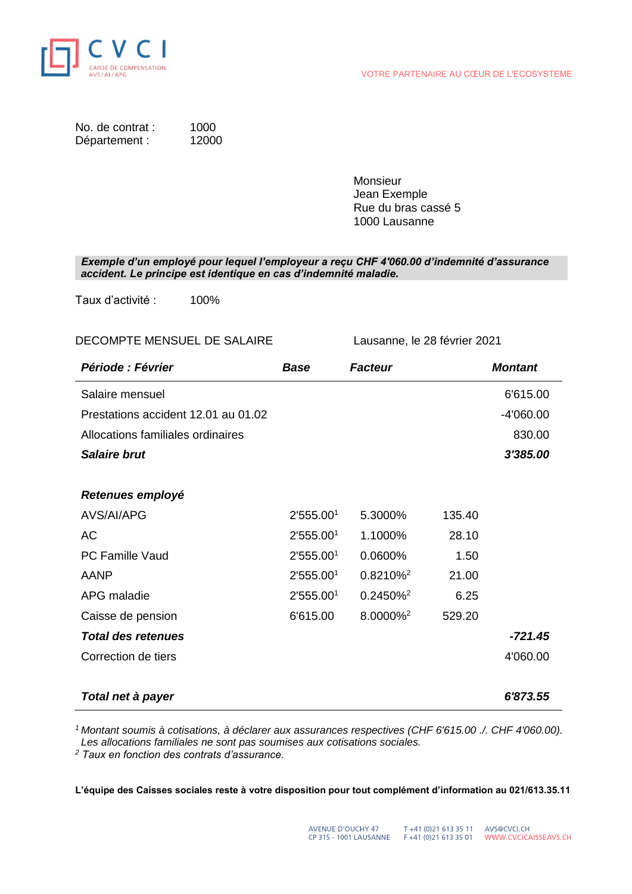

| No. de contrat : | 1000  |
|------------------|-------|
| Département :    | 12000 |

Monsieur Jean Exemple Rue du bras cassé 5 1000 Lausanne

*Exemple d'un employé pour lequel l'employeur a reçu CHF 4'060.00 d'indemnité d'assurance accident. Le principe est identique en cas d'indemnité maladie.*

Taux d'activité : 100%

## DECOMPTE MENSUEL DE SALAIRE Lausanne, le 28 février 2021

| Période : Février                   | <b>Base</b>           | <b>Facteur</b>       |        | <b>Montant</b> |
|-------------------------------------|-----------------------|----------------------|--------|----------------|
| Salaire mensuel                     |                       |                      |        | 6'615.00       |
| Prestations accident 12.01 au 01.02 |                       |                      |        | $-4'060.00$    |
| Allocations familiales ordinaires   |                       |                      |        | 830.00         |
| <b>Salaire brut</b>                 |                       |                      |        | 3'385.00       |
|                                     |                       |                      |        |                |
| Retenues employé                    |                       |                      |        |                |
| AVS/AI/APG                          | 2'555.00 <sup>1</sup> | 5.3000%              | 135.40 |                |
| АC                                  | 2'555.00 <sup>1</sup> | 1.1000%              | 28.10  |                |
| <b>PC Famille Vaud</b>              | 2'555.001             | 0.0600%              | 1.50   |                |
| AANP                                | 2'555.00 <sup>1</sup> | 0.8210% <sup>2</sup> | 21.00  |                |
| APG maladie                         | 2'555.001             | 0.2450% <sup>2</sup> | 6.25   |                |
| Caisse de pension                   | 6'615.00              | 8.0000% <sup>2</sup> | 529.20 |                |
| <b>Total des retenues</b>           |                       |                      |        | $-721.45$      |
| Correction de tiers                 |                       |                      |        | 4'060.00       |
|                                     |                       |                      |        |                |
| Total net à payer                   |                       |                      |        | 6'873.55       |

*<sup>1</sup> Montant soumis à cotisations, à déclarer aux assurances respectives (CHF 6'615.00 ./. CHF 4'060.00). Les allocations familiales ne sont pas soumises aux cotisations sociales.*

*<sup>2</sup> Taux en fonction des contrats d'assurance.*

**L'équipe des Caisses sociales reste à votre disposition pour tout complément d'information au 021/613.35.11**